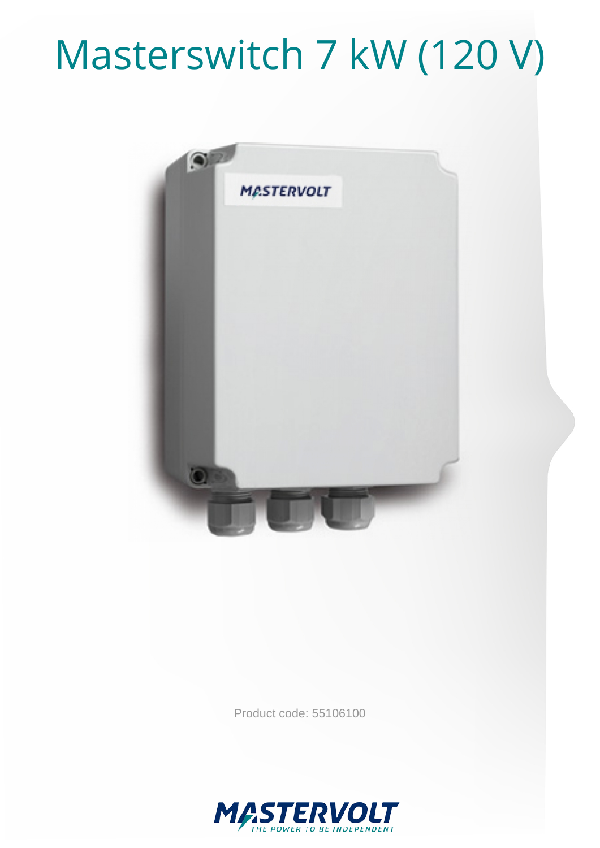## Masterswitch 7 kW (120 V)



Product code: 55106100

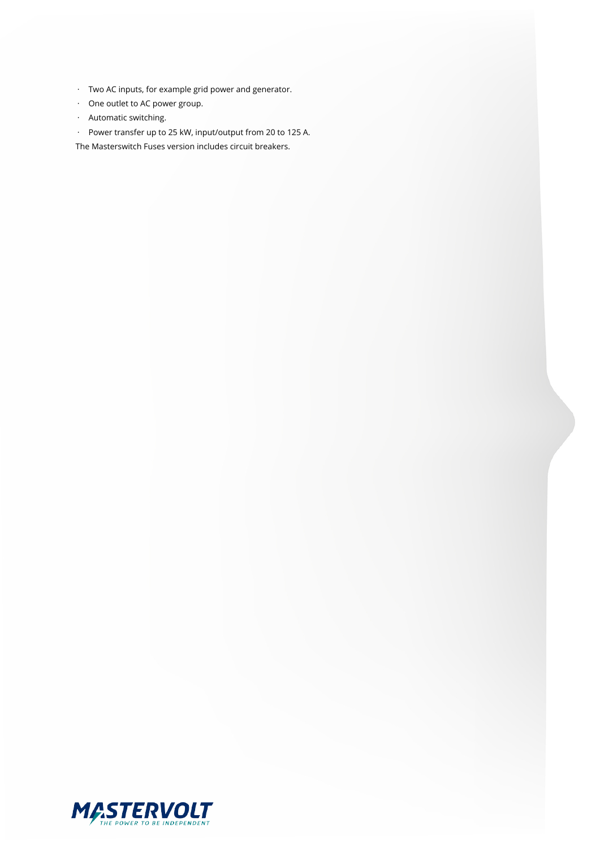- · Two AC inputs, for example grid power and generator.
- · One outlet to AC power group.
- · Automatic switching.
- · Power transfer up to 25 kW, input/output from 20 to 125 A.

The Masterswitch Fuses version includes circuit breakers.